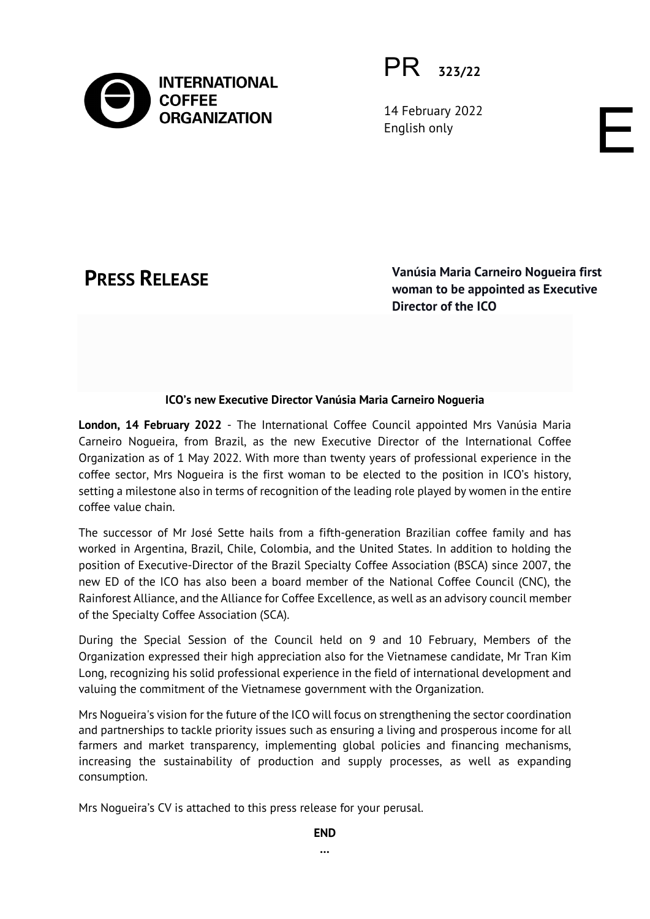

PR **323/22**

14 February 2022 English only

**PRESS RELEASE Vanúsia Maria Carneiro Nogueira first woman to be appointed as Executive Director of the ICO**

E

# **ICO's new Executive Director Vanúsia Maria Carneiro Nogueria**

**London, 14 February 2022** - The International Coffee Council appointed Mrs Vanúsia Maria Carneiro Nogueira, from Brazil, as the new Executive Director of the International Coffee Organization as of 1 May 2022. With more than twenty years of professional experience in the coffee sector, Mrs Nogueira is the first woman to be elected to the position in ICO's history, setting a milestone also in terms of recognition of the leading role played by women in the entire coffee value chain.

The successor of Mr José Sette hails from a fifth-generation Brazilian coffee family and has worked in Argentina, Brazil, Chile, Colombia, and the United States. In addition to holding the position of Executive-Director of the Brazil Specialty Coffee Association (BSCA) since 2007, the new ED of the ICO has also been a board member of the National Coffee Council (CNC), the Rainforest Alliance, and the Alliance for Coffee Excellence, as well as an advisory council member of the Specialty Coffee Association (SCA).

During the Special Session of the Council held on 9 and 10 February, Members of the Organization expressed their high appreciation also for the Vietnamese candidate, Mr Tran Kim Long, recognizing his solid professional experience in the field of international development and valuing the commitment of the Vietnamese government with the Organization.

Mrs Nogueira's vision for the future of the ICO will focus on strengthening the sector coordination and partnerships to tackle priority issues such as ensuring a living and prosperous income for all farmers and market transparency, implementing global policies and financing mechanisms, increasing the sustainability of production and supply processes, as well as expanding consumption.

Mrs Nogueira's CV is attached to this press release for your perusal.

**END**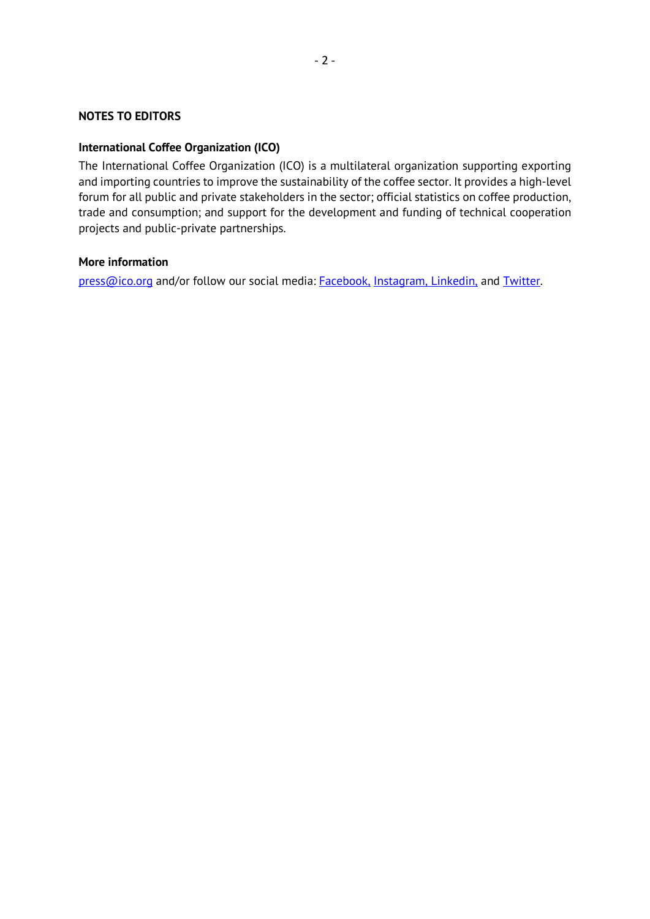## **NOTES TO EDITORS**

### **International Coffee Organization (ICO)**

The International Coffee Organization (ICO) is a multilateral organization supporting exporting and importing countries to improve the sustainability of the coffee sector. It provides a high-level forum for all public and private stakeholders in the sector; official statistics on coffee production, trade and consumption; and support for the development and funding of technical cooperation projects and public-private partnerships.

### **More information**

[press@ico.org](mailto:press@ico.org) and/or follow our social media: [Facebook,](https://www.facebook.com/ICOcoffeeorg/) [Instagram,](https://www.instagram.com/icocoffeeorg/) [Linkedin,](https://www.linkedin.com/company/144207/admin/) and [Twitter.](https://twitter.com/ICOCoffeeOrg)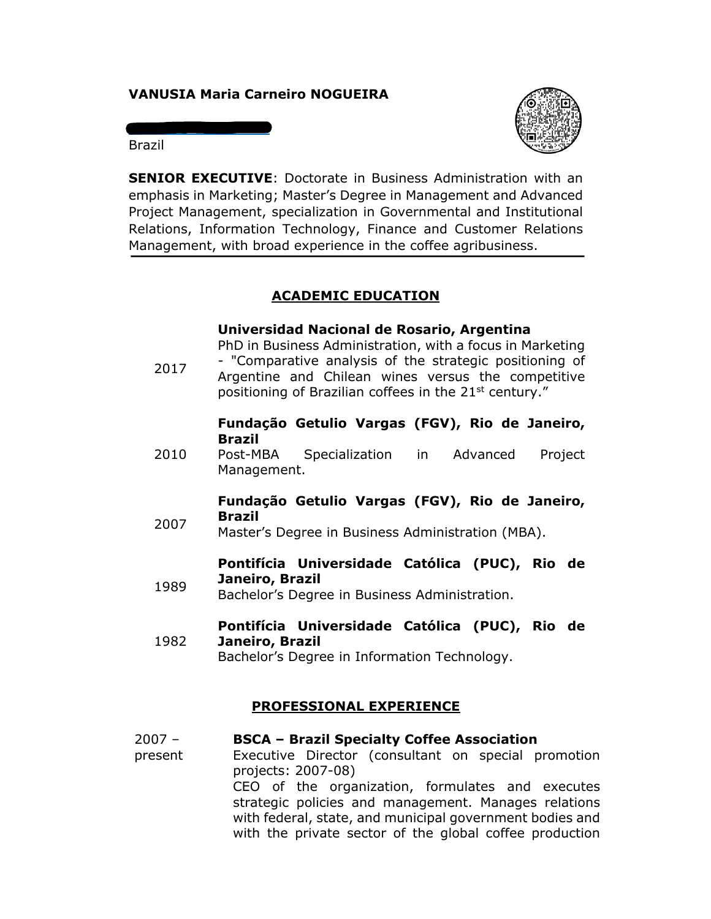# **VANUSIA Maria Carneiro NOGUEIRA**

Brazil

vanusia@bsca.com.br



**SENIOR EXECUTIVE**: Doctorate in Business Administration with an emphasis in Marketing; Master's Degree in Management and Advanced Project Management, specialization in Governmental and Institutional Relations, Information Technology, Finance and Customer Relations Management, with broad experience in the coffee agribusiness.

# **ACADEMIC EDUCATION**

### **Universidad Nacional de Rosario, Argentina**

PhD in Business Administration, with a focus in Marketing

2017 - "Comparative analysis of the strategic positioning of Argentine and Chilean wines versus the competitive positioning of Brazilian coffees in the  $21<sup>st</sup>$  century."

### **Fundação Getulio Vargas (FGV), Rio de Janeiro, Brazil**

2010 Post-MBA Specialization in Advanced Project Management.

### **Fundação Getulio Vargas (FGV), Rio de Janeiro, Brazil**

2007 Master's Degree in Business Administration (MBA).

### **Pontifícia Universidade Católica (PUC), Rio de Janeiro, Brazil**

1989 Bachelor's Degree in Business Administration.

### 1982 **Pontifícia Universidade Católica (PUC), Rio de Janeiro, Brazil**

Bachelor's Degree in Information Technology.

### **PROFESSIONAL EXPERIENCE**

#### $2007 -$ **BSCA – Brazil Specialty Coffee Association**

present Executive Director (consultant on special promotion projects: 2007-08) CEO of the organization, formulates and executes strategic policies and management. Manages relations with federal, state, and municipal government bodies and with the private sector of the global coffee production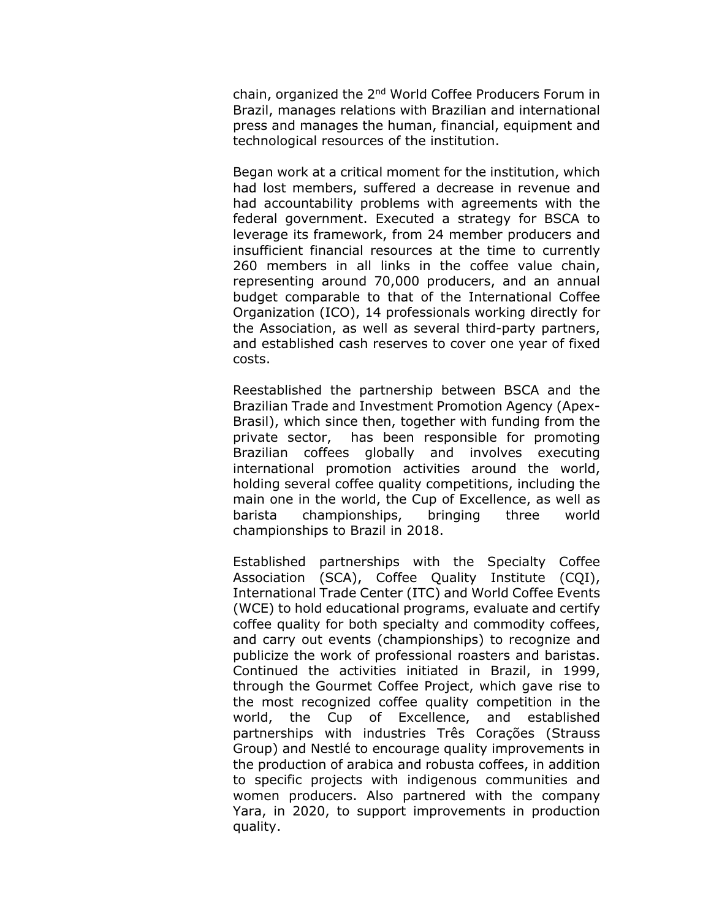chain, organized the 2nd World Coffee Producers Forum in Brazil, manages relations with Brazilian and international press and manages the human, financial, equipment and technological resources of the institution.

Began work at a critical moment for the institution, which had lost members, suffered a decrease in revenue and had accountability problems with agreements with the federal government. Executed a strategy for BSCA to leverage its framework, from 24 member producers and insufficient financial resources at the time to currently 260 members in all links in the coffee value chain, representing around 70,000 producers, and an annual budget comparable to that of the International Coffee Organization (ICO), 14 professionals working directly for the Association, as well as several third-party partners, and established cash reserves to cover one year of fixed costs.

Reestablished the partnership between BSCA and the Brazilian Trade and Investment Promotion Agency (Apex-Brasil), which since then, together with funding from the private sector, has been responsible for promoting Brazilian coffees globally and involves executing international promotion activities around the world, holding several coffee quality competitions, including the main one in the world, the Cup of Excellence, as well as barista championships, bringing three world championships to Brazil in 2018.

Established partnerships with the Specialty Coffee Association (SCA), Coffee Quality Institute (CQI), International Trade Center (ITC) and World Coffee Events (WCE) to hold educational programs, evaluate and certify coffee quality for both specialty and commodity coffees, and carry out events (championships) to recognize and publicize the work of professional roasters and baristas. Continued the activities initiated in Brazil, in 1999, through the Gourmet Coffee Project, which gave rise to the most recognized coffee quality competition in the world, the Cup of Excellence, and established partnerships with industries Três Corações (Strauss Group) and Nestlé to encourage quality improvements in the production of arabica and robusta coffees, in addition to specific projects with indigenous communities and women producers. Also partnered with the company Yara, in 2020, to support improvements in production quality.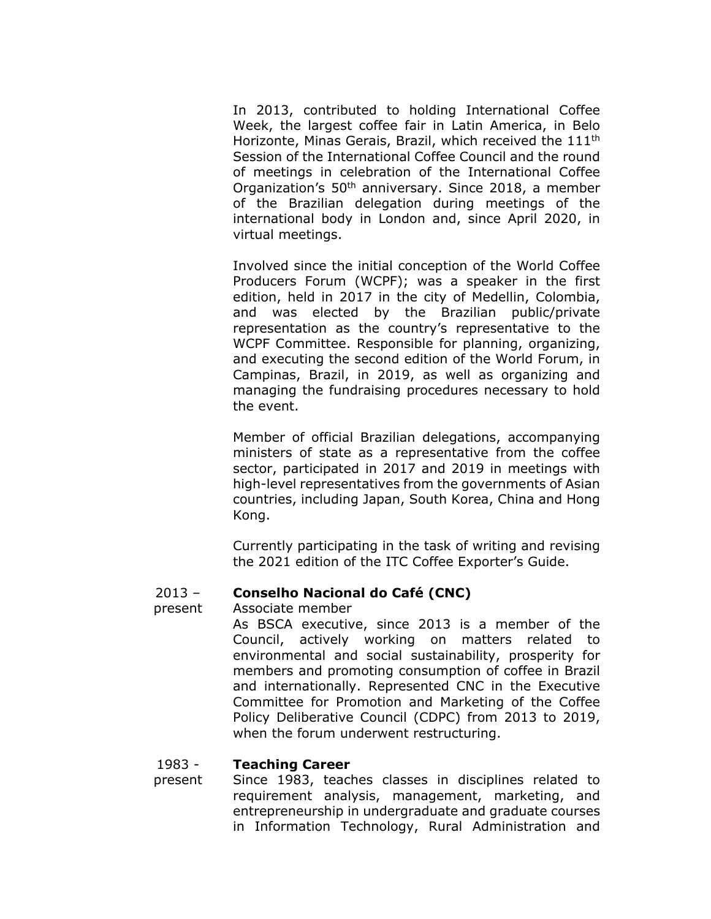In 2013, contributed to holding International Coffee Week, the largest coffee fair in Latin America, in Belo Horizonte, Minas Gerais, Brazil, which received the 111th Session of the International Coffee Council and the round of meetings in celebration of the International Coffee Organization's 50th anniversary. Since 2018, a member of the Brazilian delegation during meetings of the international body in London and, since April 2020, in virtual meetings.

Involved since the initial conception of the World Coffee Producers Forum (WCPF); was a speaker in the first edition, held in 2017 in the city of Medellin, Colombia, and was elected by the Brazilian public/private representation as the country's representative to the WCPF Committee. Responsible for planning, organizing, and executing the second edition of the World Forum, in Campinas, Brazil, in 2019, as well as organizing and managing the fundraising procedures necessary to hold the event.

Member of official Brazilian delegations, accompanying ministers of state as a representative from the coffee sector, participated in 2017 and 2019 in meetings with high-level representatives from the governments of Asian countries, including Japan, South Korea, China and Hong Kong.

Currently participating in the task of writing and revising the 2021 edition of the ITC Coffee Exporter's Guide.

#### $2013 -$ **Conselho Nacional do Café (CNC)**

#### present Associate member

As BSCA executive, since 2013 is a member of the Council, actively working on matters related to environmental and social sustainability, prosperity for members and promoting consumption of coffee in Brazil and internationally. Represented CNC in the Executive Committee for Promotion and Marketing of the Coffee Policy Deliberative Council (CDPC) from 2013 to 2019, when the forum underwent restructuring.

#### 1983 - **Teaching Career**

present Since 1983, teaches classes in disciplines related to requirement analysis, management, marketing, and entrepreneurship in undergraduate and graduate courses in Information Technology, Rural Administration and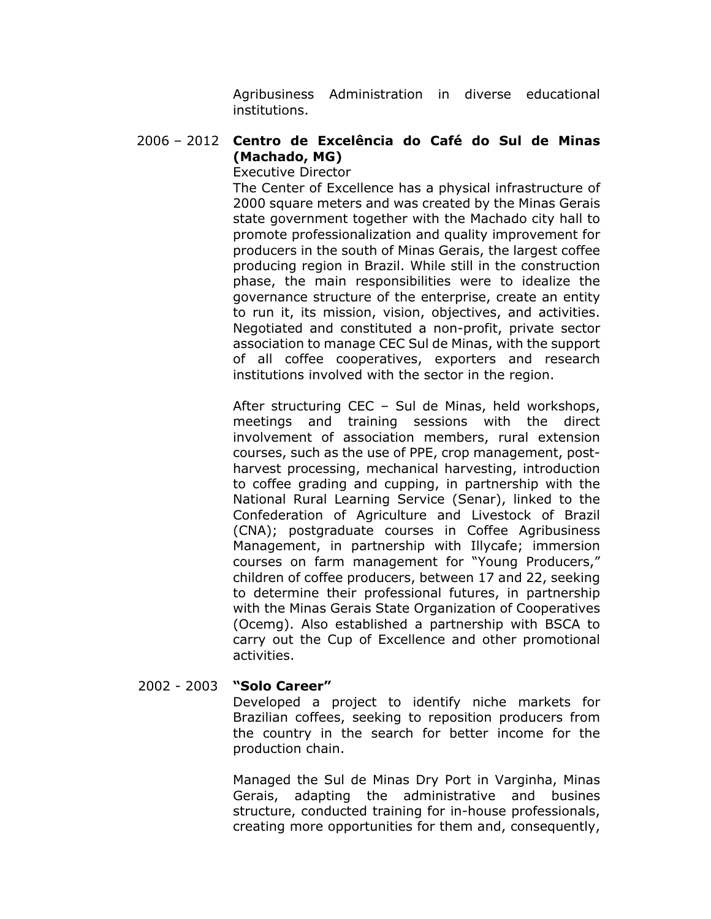Agribusiness Administration in diverse educational institutions.

### 2006 – 2012 **Centro de Excelência do Café do Sul de Minas (Machado, MG)**

Executive Director

The Center of Excellence has a physical infrastructure of 2000 square meters and was created by the Minas Gerais state government together with the Machado city hall to promote professionalization and quality improvement for producers in the south of Minas Gerais, the largest coffee producing region in Brazil. While still in the construction phase, the main responsibilities were to idealize the governance structure of the enterprise, create an entity to run it, its mission, vision, objectives, and activities. Negotiated and constituted a non-profit, private sector association to manage CEC Sul de Minas, with the support of all coffee cooperatives, exporters and research institutions involved with the sector in the region.

After structuring CEC – Sul de Minas, held workshops, meetings and training sessions with the direct involvement of association members, rural extension courses, such as the use of PPE, crop management, postharvest processing, mechanical harvesting, introduction to coffee grading and cupping, in partnership with the National Rural Learning Service (Senar), linked to the Confederation of Agriculture and Livestock of Brazil (CNA); postgraduate courses in Coffee Agribusiness Management, in partnership with Illycafe; immersion courses on farm management for "Young Producers," children of coffee producers, between 17 and 22, seeking to determine their professional futures, in partnership with the Minas Gerais State Organization of Cooperatives (Ocemg). Also established a partnership with BSCA to carry out the Cup of Excellence and other promotional activities.

### 2002 - 2003 **"Solo Career"**

Developed a project to identify niche markets for Brazilian coffees, seeking to reposition producers from the country in the search for better income for the production chain.

Managed the Sul de Minas Dry Port in Varginha, Minas Gerais, adapting the administrative and busines structure, conducted training for in-house professionals, creating more opportunities for them and, consequently,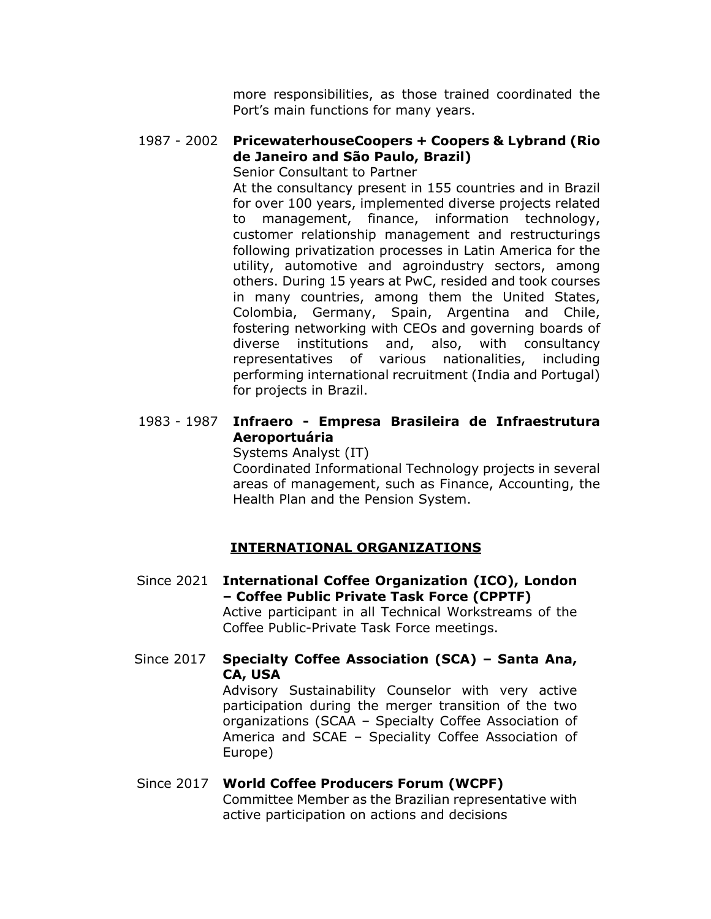more responsibilities, as those trained coordinated the Port's main functions for many years.

### 1987 - 2002 **PricewaterhouseCoopers + Coopers & Lybrand (Rio de Janeiro and São Paulo, Brazil)**

Senior Consultant to Partner

At the consultancy present in 155 countries and in Brazil for over 100 years, implemented diverse projects related to management, finance, information technology, customer relationship management and restructurings following privatization processes in Latin America for the utility, automotive and agroindustry sectors, among others. During 15 years at PwC, resided and took courses in many countries, among them the United States, Colombia, Germany, Spain, Argentina and Chile, fostering networking with CEOs and governing boards of diverse institutions and, also, with consultancy representatives of various nationalities, including performing international recruitment (India and Portugal) for projects in Brazil.

# 1983 - 1987 **Infraero - Empresa Brasileira de Infraestrutura Aeroportuária**

Systems Analyst (IT)

Coordinated Informational Technology projects in several areas of management, such as Finance, Accounting, the Health Plan and the Pension System.

# **INTERNATIONAL ORGANIZATIONS**

- Since 2021 **International Coffee Organization (ICO), London – Coffee Public Private Task Force (CPPTF)** Active participant in all Technical Workstreams of the Coffee Public-Private Task Force meetings.
- Since 2017 **Specialty Coffee Association (SCA) – Santa Ana, CA, USA**

Advisory Sustainability Counselor with very active participation during the merger transition of the two organizations (SCAA – Specialty Coffee Association of America and SCAE – Speciality Coffee Association of Europe)

# Since 2017 **World Coffee Producers Forum (WCPF)** Committee Member as the Brazilian representative with active participation on actions and decisions